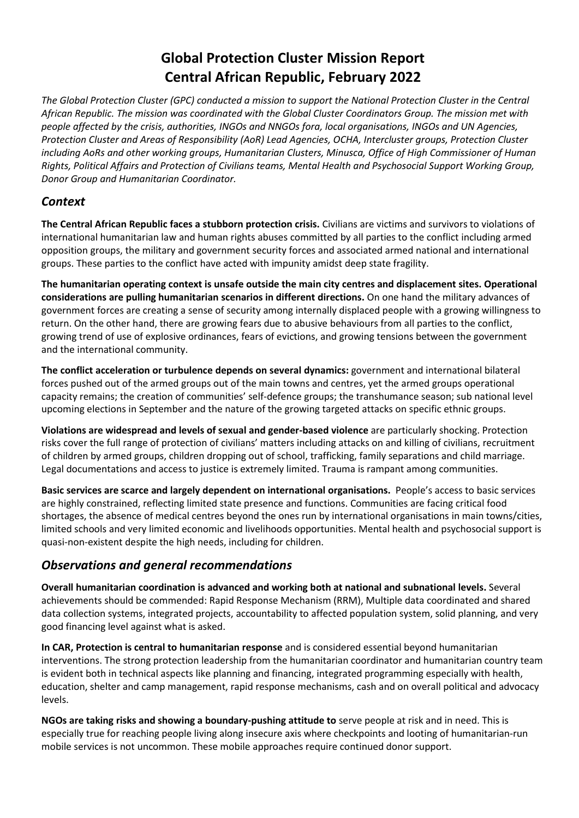# **Global Protection Cluster Mission Report Central African Republic, February 2022**

*The Global Protection Cluster (GPC) conducted a mission to support the National Protection Cluster in the Central African Republic. The mission was coordinated with the Global Cluster Coordinators Group. The mission met with people affected by the crisis, authorities, INGOs and NNGOs fora, local organisations, INGOs and UN Agencies, Protection Cluster and Areas of Responsibility (AoR) Lead Agencies, OCHA, Intercluster groups, Protection Cluster including AoRs and other working groups, Humanitarian Clusters, Minusca, Office of High Commissioner of Human Rights, Political Affairs and Protection of Civilians teams, Mental Health and Psychosocial Support Working Group, Donor Group and Humanitarian Coordinator.*

### *Context*

**The Central African Republic faces a stubborn protection crisis.** Civilians are victims and survivors to violations of international humanitarian law and human rights abuses committed by all parties to the conflict including armed opposition groups, the military and government security forces and associated armed national and international groups. These parties to the conflict have acted with impunity amidst deep state fragility.

**The humanitarian operating context is unsafe outside the main city centres and displacement sites. Operational considerations are pulling humanitarian scenarios in different directions.** On one hand the military advances of government forces are creating a sense of security among internally displaced people with a growing willingness to return. On the other hand, there are growing fears due to abusive behaviours from all parties to the conflict, growing trend of use of explosive ordinances, fears of evictions, and growing tensions between the government and the international community.

**The conflict acceleration or turbulence depends on several dynamics:** government and international bilateral forces pushed out of the armed groups out of the main towns and centres, yet the armed groups operational capacity remains; the creation of communities' self-defence groups; the transhumance season; sub national level upcoming elections in September and the nature of the growing targeted attacks on specific ethnic groups.

**Violations are widespread and levels of sexual and gender-based violence** are particularly shocking. Protection risks cover the full range of protection of civilians' matters including attacks on and killing of civilians, recruitment of children by armed groups, children dropping out of school, trafficking, family separations and child marriage. Legal documentations and access to justice is extremely limited. Trauma is rampant among communities.

**Basic services are scarce and largely dependent on international organisations.** People's access to basic services are highly constrained, reflecting limited state presence and functions. Communities are facing critical food shortages, the absence of medical centres beyond the ones run by international organisations in main towns/cities, limited schools and very limited economic and livelihoods opportunities. Mental health and psychosocial support is quasi-non-existent despite the high needs, including for children.

## *Observations and general recommendations*

**Overall humanitarian coordination is advanced and working both at national and subnational levels.** Several achievements should be commended: Rapid Response Mechanism (RRM), Multiple data coordinated and shared data collection systems, integrated projects, accountability to affected population system, solid planning, and very good financing level against what is asked.

**In CAR, Protection is central to humanitarian response** and is considered essential beyond humanitarian interventions. The strong protection leadership from the humanitarian coordinator and humanitarian country team is evident both in technical aspects like planning and financing, integrated programming especially with health, education, shelter and camp management, rapid response mechanisms, cash and on overall political and advocacy levels.

**NGOs are taking risks and showing a boundary-pushing attitude to** serve people at risk and in need. This is especially true for reaching people living along insecure axis where checkpoints and looting of humanitarian-run mobile services is not uncommon. These mobile approaches require continued donor support.